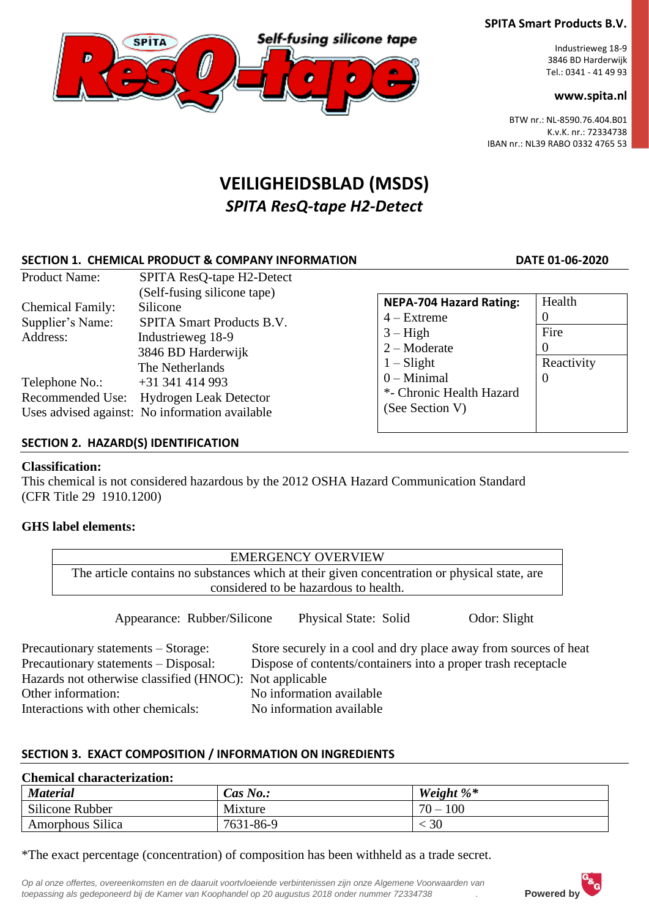# Self-fusing silicone tape **SPITA**

# **SPITA Smart Products B.V.**

Industrieweg 18-9 3846 BD Harderwijk Tel.: 0341 - 41 49 93

### **www.spita.nl**

BTW nr.: NL-8590.76.404.B01 K.v.K. nr.: 72334738 IBAN nr.: NL39 RABO 0332 4765 53

# **VEILIGHEIDSBLAD (MSDS)** *SPITA ResQ-tape H2-Detect*

# **SECTION 1. CHEMICAL PRODUCT & COMPANY INFORMATION DATE 01-06-2020**

| <b>Product Name:</b>                                    | SPITA ResQ-tape H2-Detect                                                                                                         |                                                                                 |                                        |
|---------------------------------------------------------|-----------------------------------------------------------------------------------------------------------------------------------|---------------------------------------------------------------------------------|----------------------------------------|
| <b>Chemical Family:</b><br>Supplier's Name:<br>Address: | (Self-fusing silicone tape)<br>Silicone<br><b>SPITA Smart Products B.V.</b><br>Industrieweg 18-9<br>3846 BD Harderwijk            | <b>NEPA-704 Hazard Rating:</b><br>$4 - Extreme$<br>$3 - High$<br>$2 -$ Moderate | Health<br>$\theta$<br>Fire<br>$\theta$ |
| Telephone No.:                                          | The Netherlands<br>$+31$ 341 414 993<br>Recommended Use: Hydrogen Leak Detector<br>Uses advised against: No information available | $1 - S$ light<br>$0$ – Minimal<br>*- Chronic Health Hazard<br>(See Section V)   | Reactivity<br>$\Omega$                 |

## **SECTION 2. HAZARD(S) IDENTIFICATION**

#### **Classification:**

This chemical is not considered hazardous by the 2012 OSHA Hazard Communication Standard (CFR Title 29 1910.1200)

#### **GHS label elements:**

|                                                         | <b>EMERGENCY OVERVIEW</b>                                                                    |
|---------------------------------------------------------|----------------------------------------------------------------------------------------------|
|                                                         | The article contains no substances which at their given concentration or physical state, are |
|                                                         | considered to be hazardous to health.                                                        |
| Appearance: Rubber/Silicone                             | <b>Physical State: Solid</b><br>Odor: Slight                                                 |
| Precautionary statements – Storage:                     | Store securely in a cool and dry place away from sources of heat                             |
| Precautionary statements - Disposal:                    | Dispose of contents/containers into a proper trash receptacle                                |
| Hazards not otherwise classified (HNOC): Not applicable |                                                                                              |
| Other information:                                      | No information available                                                                     |
| Interactions with other chemicals:                      | No information available                                                                     |

#### **SECTION 3. EXACT COMPOSITION / INFORMATION ON INGREDIENTS**

#### **Chemical characterization:**

| <b>Material</b>  | $Cas\ No.$ : | Weight $\%^*$ |  |
|------------------|--------------|---------------|--|
| Silicone Rubber  | Mixture      | $70 -$<br>100 |  |
| Amorphous Silica | 7631-86-9    | 30            |  |

\*The exact percentage (concentration) of composition has been withheld as a trade secret.

*Op al onze offertes, overeenkomsten en de daaruit voortvloeiende verbintenissen zijn onze Algemene Voorwaarden van toepassing als gedeponeerd bij de Kamer van Koophandel op 20 augustus 2018 onder nummer 72334738 .* **Powered by**

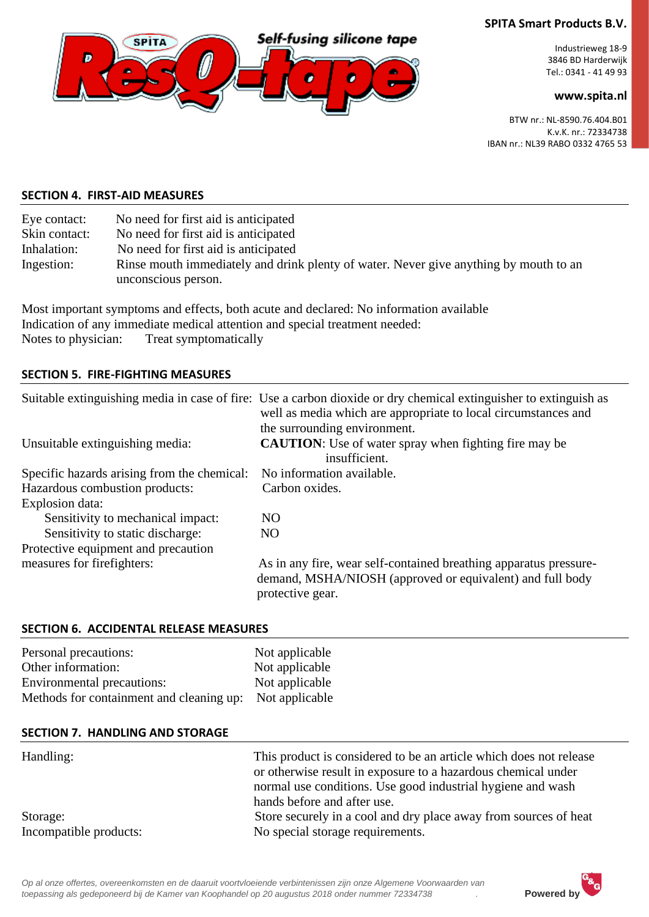

Industrieweg 18-9 3846 BD Harderwijk Tel.: 0341 - 41 49 93

#### **www.spita.nl**

BTW nr.: NL-8590.76.404.B01 K.v.K. nr.: 72334738 IBAN nr.: NL39 RABO 0332 4765 53

#### **SECTION 4. FIRST-AID MEASURES**

| No need for first aid is anticipated                                                                         |
|--------------------------------------------------------------------------------------------------------------|
| No need for first aid is anticipated                                                                         |
| No need for first aid is anticipated                                                                         |
| Rinse mouth immediately and drink plenty of water. Never give anything by mouth to an<br>unconscious person. |
|                                                                                                              |

Most important symptoms and effects, both acute and declared: No information available Indication of any immediate medical attention and special treatment needed: Notes to physician: Treat symptomatically

#### **SECTION 5. FIRE-FIGHTING MEASURES**

|                                             | Suitable extinguishing media in case of fire: Use a carbon dioxide or dry chemical extinguisher to extinguish as<br>well as media which are appropriate to local circumstances and |
|---------------------------------------------|------------------------------------------------------------------------------------------------------------------------------------------------------------------------------------|
| Unsuitable extinguishing media:             | the surrounding environment.<br><b>CAUTION:</b> Use of water spray when fighting fire may be<br>insufficient.                                                                      |
| Specific hazards arising from the chemical: | No information available.                                                                                                                                                          |
| Hazardous combustion products:              | Carbon oxides.                                                                                                                                                                     |
| Explosion data:                             |                                                                                                                                                                                    |
| Sensitivity to mechanical impact:           | N <sub>O</sub>                                                                                                                                                                     |
| Sensitivity to static discharge:            | NO.                                                                                                                                                                                |
| Protective equipment and precaution         |                                                                                                                                                                                    |
| measures for firefighters:                  | As in any fire, wear self-contained breathing apparatus pressure-<br>demand, MSHA/NIOSH (approved or equivalent) and full body<br>protective gear.                                 |

#### **SECTION 6. ACCIDENTAL RELEASE MEASURES**

| Personal precautions:                                                                 | Not applicable |
|---------------------------------------------------------------------------------------|----------------|
| Other information:                                                                    | Not applicable |
| Environmental precautions:<br>Methods for containment and cleaning up: Not applicable | Not applicable |

#### **SECTION 7. HANDLING AND STORAGE**

| Handling:              | This product is considered to be an article which does not release<br>or otherwise result in exposure to a hazardous chemical under<br>normal use conditions. Use good industrial hygiene and wash<br>hands before and after use. |
|------------------------|-----------------------------------------------------------------------------------------------------------------------------------------------------------------------------------------------------------------------------------|
| Storage:               | Store securely in a cool and dry place away from sources of heat                                                                                                                                                                  |
| Incompatible products: | No special storage requirements.                                                                                                                                                                                                  |

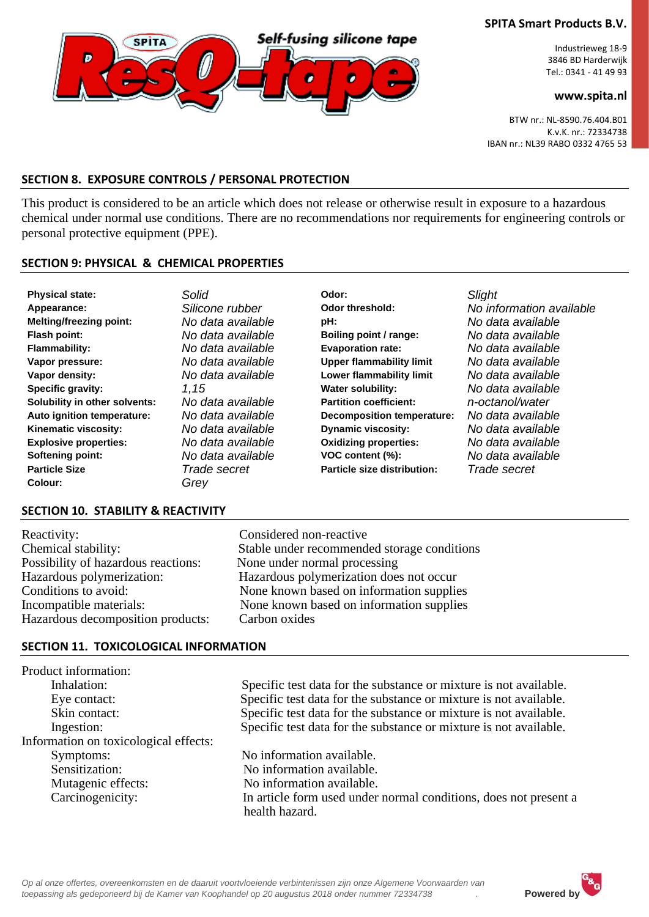

Industrieweg 18-9 3846 BD Harderwijk Tel.: 0341 - 41 49 93

#### **www.spita.nl**

BTW nr.: NL-8590.76.404.B01 K.v.K. nr.: 72334738 IBAN nr.: NL39 RABO 0332 4765 53

#### **SECTION 8. EXPOSURE CONTROLS / PERSONAL PROTECTION**

This product is considered to be an article which does not release or otherwise result in exposure to a hazardous chemical under normal use conditions. There are no recommendations nor requirements for engineering controls or personal protective equipment (PPE).

#### **SECTION 9: PHYSICAL & CHEMICAL PROPERTIES**

| <b>Physical state:</b>          | Solid                | Odor:                             | <b>Slight</b>            |
|---------------------------------|----------------------|-----------------------------------|--------------------------|
| Appearance:                     | Silicone rubber      | Odor threshold:                   | No information available |
| <b>Melting/freezing point:</b>  | No data available    | pH:                               | No data available        |
| Flash point:                    | No data available    | Boiling point / range:            | No data available        |
| <b>Flammability:</b>            | No data available    | <b>Evaporation rate:</b>          | No data available        |
| Vapor pressure:                 | No data available    | <b>Upper flammability limit</b>   | No data available        |
| Vapor density:                  | No data available    | Lower flammability limit          | No data available        |
| Specific gravity:               | 1.15                 | <b>Water solubility:</b>          | No data available        |
| Solubility in other solvents:   | No data available    | <b>Partition coefficient:</b>     | n-octanol/water          |
| Auto ignition temperature:      | No data available    | <b>Decomposition temperature:</b> | No data available        |
| Kinematic viscosity:            | No data available    | <b>Dynamic viscosity:</b>         | No data available        |
| <b>Explosive properties:</b>    | No data available    | <b>Oxidizing properties:</b>      | No data available        |
| Softening point:                | No data available    | VOC content (%):                  | No data available        |
| <b>Particle Size</b><br>Colour: | Trade secret<br>Grey | Particle size distribution:       | Trade secret             |

#### **SECTION 10. STABILITY & REACTIVITY**

Reactivity: Considered non-reactive Possibility of hazardous reactions: None under normal processing Hazardous decomposition products: Carbon oxides

Chemical stability: Stable under recommended storage conditions Hazardous polymerization: Hazardous polymerization does not occur Conditions to avoid: None known based on information supplies Incompatible materials: None known based on information supplies

#### **SECTION 11. TOXICOLOGICAL INFORMATION**

Product information: Information on toxicological effects: Symptoms:<br>
No information available.<br>
No information available.<br>
No information available. Mutagenic effects: No information available.

 Inhalation: Specific test data for the substance or mixture is not available. Eye contact: Specific test data for the substance or mixture is not available. Skin contact: Specific test data for the substance or mixture is not available. Ingestion: Specific test data for the substance or mixture is not available.

No information available. Carcinogenicity: In article form used under normal conditions, does not present a health hazard.

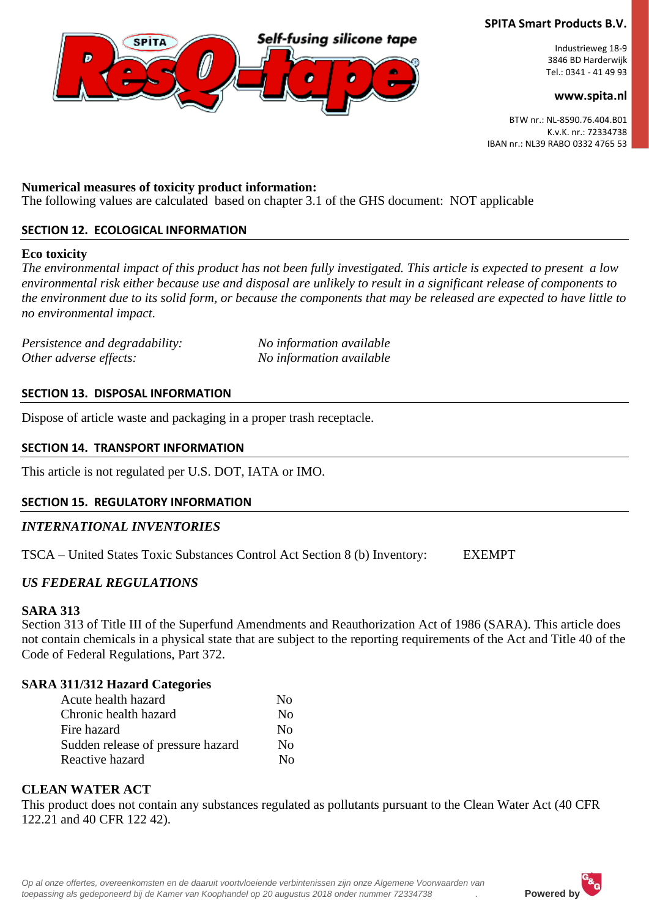

Industrieweg 18-9 3846 BD Harderwijk Tel.: 0341 - 41 49 93

#### **www.spita.nl**

BTW nr.: NL-8590.76.404.B01 K.v.K. nr.: 72334738 IBAN nr.: NL39 RABO 0332 4765 53

#### **Numerical measures of toxicity product information:**

The following values are calculated based on chapter 3.1 of the GHS document: NOT applicable

#### **SECTION 12. ECOLOGICAL INFORMATION**

#### **Eco toxicity**

*The environmental impact of this product has not been fully investigated. This article is expected to present a low environmental risk either because use and disposal are unlikely to result in a significant release of components to the environment due to its solid form, or because the components that may be released are expected to have little to no environmental impact.*

*Persistence and degradability: No information available Other adverse effects: No information available*

#### **SECTION 13. DISPOSAL INFORMATION**

Dispose of article waste and packaging in a proper trash receptacle.

#### **SECTION 14. TRANSPORT INFORMATION**

This article is not regulated per U.S. DOT, IATA or IMO.

#### **SECTION 15. REGULATORY INFORMATION**

#### *INTERNATIONAL INVENTORIES*

TSCA – United States Toxic Substances Control Act Section 8 (b) Inventory: EXEMPT

#### *US FEDERAL REGULATIONS*

#### **SARA 313**

Section 313 of Title III of the Superfund Amendments and Reauthorization Act of 1986 (SARA). This article does not contain chemicals in a physical state that are subject to the reporting requirements of the Act and Title 40 of the Code of Federal Regulations, Part 372.

#### **SARA 311/312 Hazard Categories**

| Acute health hazard               | No. |
|-----------------------------------|-----|
| Chronic health hazard             | No  |
| Fire hazard                       | No  |
| Sudden release of pressure hazard | No  |
| Reactive hazard                   | N٥  |
|                                   |     |

#### **CLEAN WATER ACT**

This product does not contain any substances regulated as pollutants pursuant to the Clean Water Act (40 CFR 122.21 and 40 CFR 122 42).